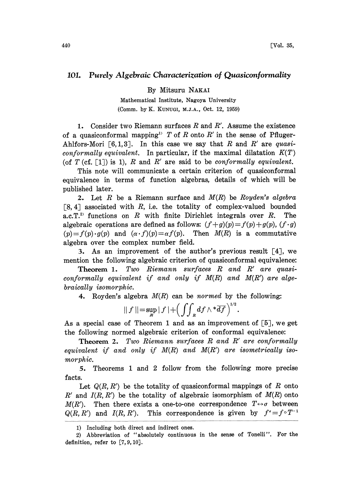## 101. Purely Algebraic Characterization of Quasiconformality

By Mitsuru NAKAI

Mathematical Institute, Nagoya University (Comm. by K. KUNUGI, M.J.A., Oct. 12, 1959)

1. Consider two Riemann surfaces  $R$  and  $R'$ . Assume the existence of a quasiconformal mapping<sup>1)</sup> T of R onto R' in the sense of Pfluger-Ahlfors-Mori [6,1,3]. In this case we say that R and R' are quasiconformally equivalent. In particular, if the maximal dilatation  $K(T)$ (of  $T$  (cf. [1]) is 1),  $R$  and  $R'$  are said to be conformally equivalent.

This note will communicate a certain criterion of quasiconformal equivalence in terms of function algebras, details of which will be published later.

2. Let  $R$  be a Riemann surface and  $M(R)$  be Royden's algebra  $\lceil 8, 4 \rceil$  associated with R, i.e. the totality of complex-valued bounded a.c.  $T^{2}$  functions on R with finite Dirichlet integrals over R. The algebraic operations are defined as follows:  $(f+g)(p)=f(p)+g(p), (f \cdot g)$  $(p)=f(p)\cdot g(p)$  and  $(\alpha \cdot f)(p)=\alpha f(p)$ . Then  $M(R)$  is a commutative algebra over the complex number field.

3. As an improvement of the author's previous result [4J, we mention the following algebraic criterion of quasiconformal equivalence:

Theorem 1. Two Riemann surfaces R and R' are quasiconformally equivalent if and only if M(R) and M(R') are algebraically isomorphic.

4. Royden's algebra  $M(R)$  can be normed by the following:

$$
|| f || = \sup_{R} |f| + \left( \iint_{R} df \wedge \sqrt[t]{df} \right)^{1/2}.
$$

As a special case of Theorem 1 and as an improvement of  $\lceil 5 \rceil$ , we get the following normed algebraic criterion of conformal equivalence:

**Theorem 2.** Two Riemann surfaces  $R$  and  $R'$  are conformally equivalent if and only if  $M(R)$  and  $M(R')$  are isometrically isomorphic.

5. Theorems <sup>1</sup> and 2 follow from the following more precise facts.

Let  $Q(R, R')$  be the totality of quasiconformal mappings of R onto R' and  $I(R, R')$  be the totality of algebraic isomorphism of  $M(R)$  onto  $M(R')$ . Then there exists a one-to-one correspondence  $T \leftrightarrow \sigma$  between  $Q(R, R')$  and  $I(R, R')$ . This correspondence is given by  $f^{\circ} = f \circ T^{-1}$ 

<sup>1)</sup> Including both direct and indirect ones.

<sup>2)</sup> Abbreviation of "absolutely continuous in the sense of Tonelli", For the definition, refer to  $[7, 9, 10]$ .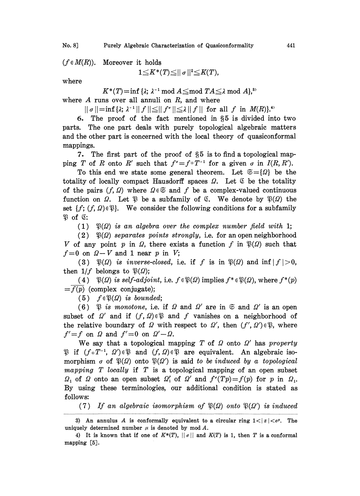No. 8]

 $(f \in M(R))$ . Moreover it holds

$$
1{\leq}K^*(T){\leq}||\,\sigma\,||^2{\leq}K(T),
$$

where

 $K^*(T)=\inf \{\lambda;$ 

where  $A$  runs over all annuli on  $R$ , and where

 $\lambda^{-1} \mod A \leq \mod TA \leq \lambda \mod A$ ,<br>
where<br>  $\leq ||f^{\sigma}|| \leq \lambda ||f||$  for all f in  $\Lambda$ <br>
is fact, mentioned in 85 is divi  $|| \sigma || = \inf \{ \lambda; \ \lambda^{-1} || f || \leq || f' || \leq \lambda || f || \text{ for all } f \text{ in } M(R) \}.$ 

6. The proof of the fact mentioned in §5 is divided into two parts. The one part deals with purely topological algebraic matters and the other part is concerned with the local theory of quasiconformal mappings.

7. The first part of the proof of  $\S5$  is to find a topological mapping T of R onto R' such that  $f^{\sigma}=f^{\circ}T^{-1}$  for a given  $\sigma$  in  $I(R, R')$ .

To this end we state some general theorem. Let  $\mathfrak{S} = \{Q\}$  be the totality of locally compact Hausdorff spaces  $\Omega$ . Let  $\mathfrak C$  be the totality of the pairs  $(f, Q)$  where  $Q \in \mathfrak{S}$  and f be a complex-valued continuous function on  $\Omega$ . Let  $\mathfrak P$  be a subfamily of  $\mathfrak C$ . We denote by  $\mathfrak P(\Omega)$  the set  $\{f; (f, \Omega) \in \mathcal{X}\}\$ . We consider the following conditions for a subfamily  $\mathfrak{P}$  of  $\mathfrak{C}$ :

(1)  $\mathfrak{P}(\Omega)$  is an algebra over the complex number field with 1;

(2)  $\mathfrak{P}(\Omega)$  separates points strongly, i.e. for an open neighborhood V of any point p in Q, there exists a function f in  $\mathfrak{P}(\Omega)$  such that  $f=0$  on  $\Omega-V$  and 1 near p in V;

(3)  $\mathfrak{P}(\Omega)$  is inverse-closed, i.e. if f is in  $\mathfrak{P}(\Omega)$  and  $\inf |f| > 0$ , then  $1/f$  belongs to  $\mathfrak{P}(\Omega)$ ;

(4)  $\mathfrak{P}(\Omega)$  is self-adjoint, i.e.  $f \in \mathfrak{P}(\Omega)$  implies  $f^* \in \mathfrak{P}(\Omega)$ , where  $f^*(p)$  $\overline{f(p)}$  (complex conjugate);

(5)  $f \in \mathfrak{P}(\Omega)$  is bounded;

(6)  $\mathfrak P$  is monotone, i.e. if  $\Omega$  and  $\Omega'$  are in  $\mathfrak S$  and  $\Omega'$  is an open subset of  $\Omega'$  and if  $(f, \Omega) \in \mathfrak{P}$  and f vanishes on a neighborhood of the relative boundary of  $\Omega$  with respect to  $\Omega'$ , then  $(f', \Omega') \in \mathfrak{P}$ , where  $f' = f$  on  $\Omega$  and  $f' = 0$  on  $\Omega' - \Omega$ .

We say that a topological mapping  $T$  of  $\Omega$  onto  $\Omega'$  has property  $\mathfrak{B}$  if  $(f \circ T^{-1}, \Omega') \in \mathfrak{B}$  and  $(f, \Omega) \in \mathfrak{B}$  are equivalent. An algebraic isomorphism  $\sigma$  of  $\mathfrak{P}(\Omega)$  onto  $\mathfrak{P}(\Omega')$  is said to be induced by a topological mapping  $T$  locally if  $T$  is a topological mapping of an open subset  $\Omega_1$  of  $\Omega$  onto an open subset  $\Omega'_1$  of  $\Omega'$  and  $f'(Tp)=f(p)$  for p in  $\Omega_1$ . By using these terminologies, our additional condition is stated as follows:

(7) If an algebraic isomorphism of  $\mathfrak{P}(\Omega)$  onto  $\mathfrak{P}(\Omega')$  is induced

<sup>3)</sup> An annulus A is conformally equivalent to a circular ring  $1 < |z| < e^{\mu}$ . The uniquely determined number  $\mu$  is denoted by mod A.

<sup>4)</sup> It is known that if one of  $K^*(T)$ ,  $||\sigma||$  and  $K(T)$  is 1, then T is a conformal mapping [5].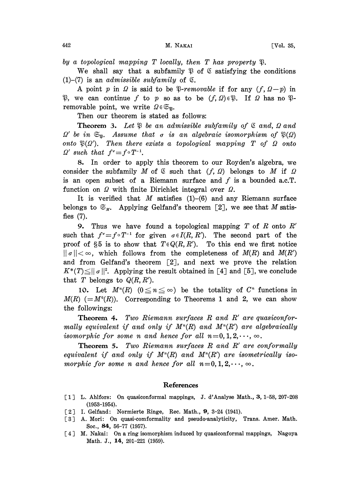by a topological mapping T locally, then T has property  $\mathfrak P$ .

We shall say that a subfamily  $\mathfrak P$  of  $\mathfrak C$  satisfying the conditions  $(1)$ – $(7)$  is an *admissible subfamily* of  $\mathcal{L}$ .

A point p in Q is said to be \$-removable if for any  $(f, Q-p)$  in  $\mathcal{R}$ , we can continue f to p so as to be  $(f, \Omega) \in \mathcal{R}$ . If  $\Omega$  has no  $\mathcal{R}$ removable point, we write  $\Omega \in \mathfrak{S}_{\mathfrak{B}}$ .

Then our theorem is stated as follows:

**Theorem 3.** Let  $\mathfrak{P}$  be an admissible subfamily of  $\mathfrak{C}$  and,  $\Omega$  and  $\Omega'$  be in  $\mathfrak{S}_n$ . Assume that  $\sigma$  is an algebraic isomorphism of  $\mathfrak{P}(\Omega)$ onto  $\mathfrak{P}(\Omega')$ . Then there exists a topological mapping T of  $\Omega$  onto  $\Omega'$  such that  $f^{\sigma}=f \circ T^{-1}$ .

8. In order to apply this theorem to our Royden's algebra, we consider the subfamily M of  $\&$  such that  $(f, \Omega)$  belongs to M if  $\Omega$ is an open subset of a Riemann surface and  $f$  is a bounded a.c.T. function on  $\Omega$  with finite Dirichlet integral over  $\Omega$ .

It is verified that  $M$  satisfies (1)-(6) and any Riemann surface belongs to  $\mathfrak{S}_M$ . Applying Gelfand's theorem [2], we see that M satisfies (7).

**9.** Thus we have found a topological mapping  $T$  of  $R$  onto  $R'$ such that  $f^{\sigma}=f\circ T^{-1}$  for given  $\sigma\in I(R, R')$ . The second part of the proof of  $\S5$  is to show that  $T \in Q(R, R')$ . To this end we first notice  $\|\sigma\| < \infty$ , which follows from the completeness of  $M(R)$  and  $M(R')$ and from Gelfand's theorem  $\lceil 2 \rceil$ , and next we prove the relation  $K^*(T) \le ||\sigma||^2$ . Applying the result obtained in [4] and [5], we conclude that T belongs to  $Q(R, R')$ .

10. Let  $M^n(R)$   $(0 \le n \le \infty)$  be the totality of  $C^n$  functions in  $M(R)$  (= $M^0(R)$ ). Corresponding to Theorems 1 and 2, we can show the followings:

**Theorem 4.** Two Riemann surfaces  $R$  and  $R'$  are quasiconformally equivalent if and only if  $M^n(R)$  and  $M^n(R')$  are algebraically isomorphic for some n and hence for all  $n=0, 1, 2, \dots, \infty$ .

**Theorem 5.** Two Riemann surfaces  $R$  and  $R'$  are conformally equivalent if and only if  $M^n(R)$  and  $M^n(R')$  are isometrically isomorphic for some n and hence for all  $n=0, 1, 2, \dots, \infty$ .

## References

- [ 1 ] L. Ahlfors: On quasiconformal mappings, J. d'Analyse Math., 3, 1-58, 207-208 (1953-1954).
- [ 2 ] I. Gelfand: Normierte Ringe, Rec. Math., 9, 3-24 (1941).
- [3] A. Mori: On quasi-comformality and pseudo-analyticity, Trans. Amer. Math. Soc., 84, 56-77 (1957).
- [4] M. Nakai: On a ring isomorphism induced by quasiconformal mappings, Nagoya Math. J., 14, 201-221 (1959).